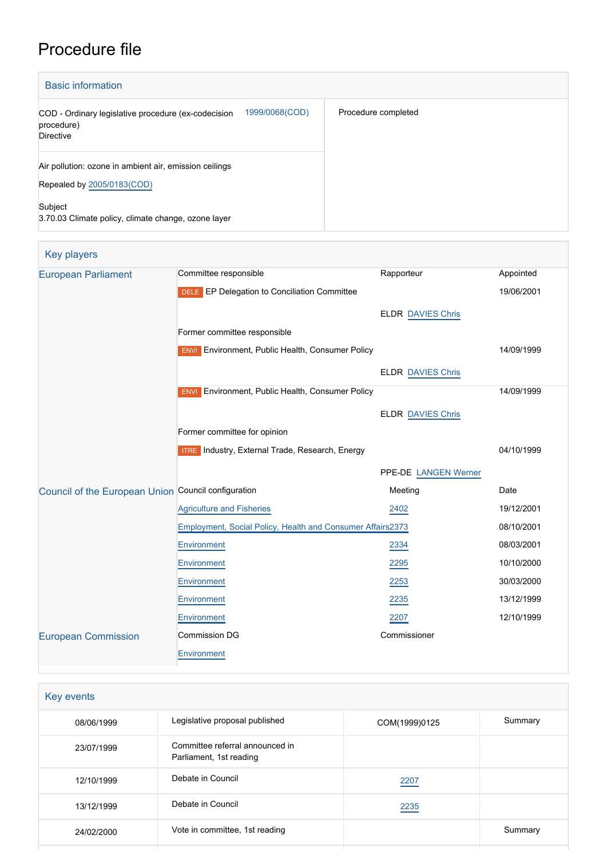# Procedure file

| <b>Basic information</b>                                                                         |                     |
|--------------------------------------------------------------------------------------------------|---------------------|
| 1999/0068(COD)<br>COD - Ordinary legislative procedure (ex-codecision<br>procedure)<br>Directive | Procedure completed |
| Air pollution: ozone in ambient air, emission ceilings<br>Repealed by 2005/0183(COD)             |                     |
| Subject<br>3.70.03 Climate policy, climate change, ozone layer                                   |                     |

| <b>Key players</b>                                  |                                                            |                          |            |
|-----------------------------------------------------|------------------------------------------------------------|--------------------------|------------|
| <b>European Parliament</b>                          | Committee responsible                                      | Rapporteur               | Appointed  |
|                                                     | DELE EP Delegation to Conciliation Committee               |                          | 19/06/2001 |
|                                                     |                                                            | <b>ELDR DAVIES Chris</b> |            |
|                                                     | Former committee responsible                               |                          |            |
|                                                     | <b>ENVI</b> Environment, Public Health, Consumer Policy    |                          | 14/09/1999 |
|                                                     |                                                            |                          |            |
|                                                     |                                                            | <b>ELDR DAVIES Chris</b> |            |
|                                                     | <b>ENVI</b> Environment, Public Health, Consumer Policy    |                          | 14/09/1999 |
|                                                     |                                                            | <b>ELDR DAVIES Chris</b> |            |
|                                                     | Former committee for opinion                               |                          |            |
|                                                     | <b>ITRE</b> Industry, External Trade, Research, Energy     | 04/10/1999               |            |
|                                                     |                                                            | PPE-DE LANGEN Werner     |            |
| Council of the European Union Council configuration |                                                            | Meeting                  | Date       |
|                                                     | <b>Agriculture and Fisheries</b>                           | 2402                     | 19/12/2001 |
|                                                     | Employment, Social Policy, Health and Consumer Affairs2373 | 08/10/2001               |            |
|                                                     | Environment                                                | 2334                     | 08/03/2001 |
|                                                     | Environment                                                | 2295                     | 10/10/2000 |
|                                                     | Environment                                                | 2253                     | 30/03/2000 |
|                                                     | Environment                                                | 2235                     | 13/12/1999 |
|                                                     | Environment                                                | 2207                     | 12/10/1999 |
| <b>European Commission</b>                          | <b>Commission DG</b>                                       | Commissioner             |            |
|                                                     | <b>Environment</b>                                         |                          |            |
|                                                     |                                                            |                          |            |

| Key events |                                                            |               |         |
|------------|------------------------------------------------------------|---------------|---------|
| 08/06/1999 | Legislative proposal published                             | COM(1999)0125 | Summary |
| 23/07/1999 | Committee referral announced in<br>Parliament, 1st reading |               |         |
| 12/10/1999 | Debate in Council                                          | 2207          |         |
| 13/12/1999 | Debate in Council                                          | 2235          |         |
| 24/02/2000 | Vote in committee, 1st reading                             |               | Summary |
|            |                                                            |               |         |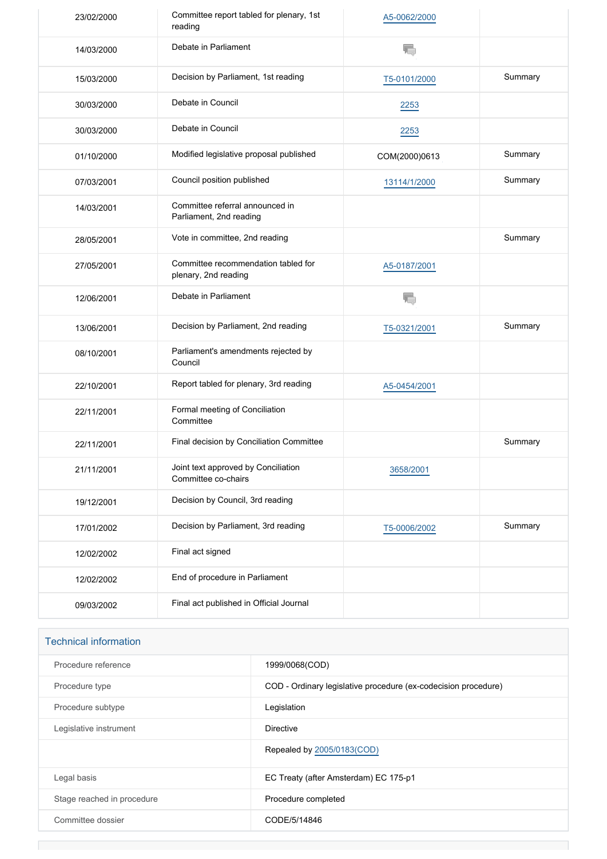| 23/02/2000 | Committee report tabled for plenary, 1st<br>reading         | A5-0062/2000  |         |
|------------|-------------------------------------------------------------|---------------|---------|
| 14/03/2000 | Debate in Parliament                                        | T,            |         |
| 15/03/2000 | Decision by Parliament, 1st reading                         | T5-0101/2000  | Summary |
| 30/03/2000 | Debate in Council                                           | 2253          |         |
| 30/03/2000 | Debate in Council                                           | 2253          |         |
| 01/10/2000 | Modified legislative proposal published                     | COM(2000)0613 | Summary |
| 07/03/2001 | Council position published                                  | 13114/1/2000  | Summary |
| 14/03/2001 | Committee referral announced in<br>Parliament, 2nd reading  |               |         |
| 28/05/2001 | Vote in committee, 2nd reading                              |               | Summary |
| 27/05/2001 | Committee recommendation tabled for<br>plenary, 2nd reading | A5-0187/2001  |         |
| 12/06/2001 | Debate in Parliament                                        | T.            |         |
| 13/06/2001 | Decision by Parliament, 2nd reading                         | T5-0321/2001  | Summary |
| 08/10/2001 | Parliament's amendments rejected by<br>Council              |               |         |
| 22/10/2001 | Report tabled for plenary, 3rd reading                      | A5-0454/2001  |         |
| 22/11/2001 | Formal meeting of Conciliation<br>Committee                 |               |         |
| 22/11/2001 | Final decision by Conciliation Committee                    |               | Summary |
| 21/11/2001 | Joint text approved by Conciliation<br>Committee co-chairs  | 3658/2001     |         |
| 19/12/2001 | Decision by Council, 3rd reading                            |               |         |
| 17/01/2002 | Decision by Parliament, 3rd reading                         | T5-0006/2002  | Summary |
| 12/02/2002 | Final act signed                                            |               |         |
| 12/02/2002 | End of procedure in Parliament                              |               |         |
| 09/03/2002 | Final act published in Official Journal                     |               |         |

| Procedure reference        | 1999/0068(COD)                                                 |
|----------------------------|----------------------------------------------------------------|
| Procedure type             | COD - Ordinary legislative procedure (ex-codecision procedure) |
| Procedure subtype          | Legislation                                                    |
| Legislative instrument     | Directive                                                      |
|                            | Repealed by 2005/0183(COD)                                     |
| Legal basis                | EC Treaty (after Amsterdam) EC 175-p1                          |
| Stage reached in procedure | Procedure completed                                            |
| Committee dossier          | CODE/5/14846                                                   |
|                            |                                                                |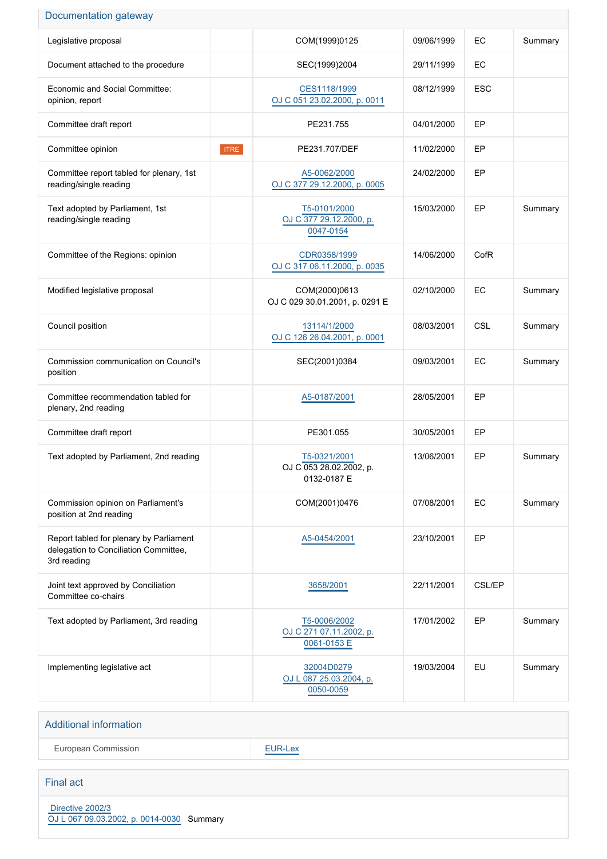### Documentation gateway

| Legislative proposal                                                                            |             | COM(1999)0125                                          | 09/06/1999 | EC            | Summary |
|-------------------------------------------------------------------------------------------------|-------------|--------------------------------------------------------|------------|---------------|---------|
| Document attached to the procedure                                                              |             | SEC(1999)2004                                          | 29/11/1999 | EC            |         |
| Economic and Social Committee:<br>opinion, report                                               |             | CES1118/1999<br>OJ C 051 23.02.2000, p. 0011           | 08/12/1999 | <b>ESC</b>    |         |
| Committee draft report                                                                          |             | PE231.755                                              | 04/01/2000 | EP            |         |
| Committee opinion                                                                               | <b>ITRE</b> | PE231.707/DEF                                          | 11/02/2000 | EP            |         |
| Committee report tabled for plenary, 1st<br>reading/single reading                              |             | A5-0062/2000<br>OJ C 377 29.12.2000, p. 0005           | 24/02/2000 | EP            |         |
| Text adopted by Parliament, 1st<br>reading/single reading                                       |             | T5-0101/2000<br>OJ C 377 29.12.2000, p.<br>0047-0154   | 15/03/2000 | EP            | Summary |
| Committee of the Regions: opinion                                                               |             | CDR0358/1999<br>OJ C 317 06.11.2000, p. 0035           | 14/06/2000 | CofR          |         |
| Modified legislative proposal                                                                   |             | COM(2000)0613<br>OJ C 029 30.01.2001, p. 0291 E        | 02/10/2000 | EC            | Summary |
| Council position                                                                                |             | 13114/1/2000<br>OJ C 126 26 04 2001, p. 0001           | 08/03/2001 | <b>CSL</b>    | Summary |
| Commission communication on Council's<br>position                                               |             | SEC(2001)0384                                          | 09/03/2001 | EC            | Summary |
| Committee recommendation tabled for<br>plenary, 2nd reading                                     |             | A5-0187/2001                                           | 28/05/2001 | EP            |         |
| Committee draft report                                                                          |             | PE301.055                                              | 30/05/2001 | EP            |         |
| Text adopted by Parliament, 2nd reading                                                         |             | T5-0321/2001<br>OJ C 053 28.02.2002, p.<br>0132-0187 E | 13/06/2001 | EP            | Summary |
| Commission opinion on Parliament's<br>position at 2nd reading                                   |             | COM(2001)0476                                          | 07/08/2001 | EC            | Summary |
| Report tabled for plenary by Parliament<br>delegation to Conciliation Committee,<br>3rd reading |             | A5-0454/2001                                           | 23/10/2001 | EP            |         |
| Joint text approved by Conciliation<br>Committee co-chairs                                      |             | 3658/2001                                              | 22/11/2001 | <b>CSL/EP</b> |         |
| Text adopted by Parliament, 3rd reading                                                         |             | T5-0006/2002<br>OJ C 271 07.11.2002, p.<br>0061-0153 E | 17/01/2002 | EP            | Summary |
| Implementing legislative act                                                                    |             | 32004D0279<br>OJ L 087 25.03.2004, p.<br>0050-0059     | 19/03/2004 | EU            | Summary |

#### Additional information

European Commission **[EUR-Lex](http://ec.europa.eu/prelex/liste_resultats.cfm?CL=en&ReqId=0&DocType=COD&DocYear=1999&DocNum=0068)** 

#### Final act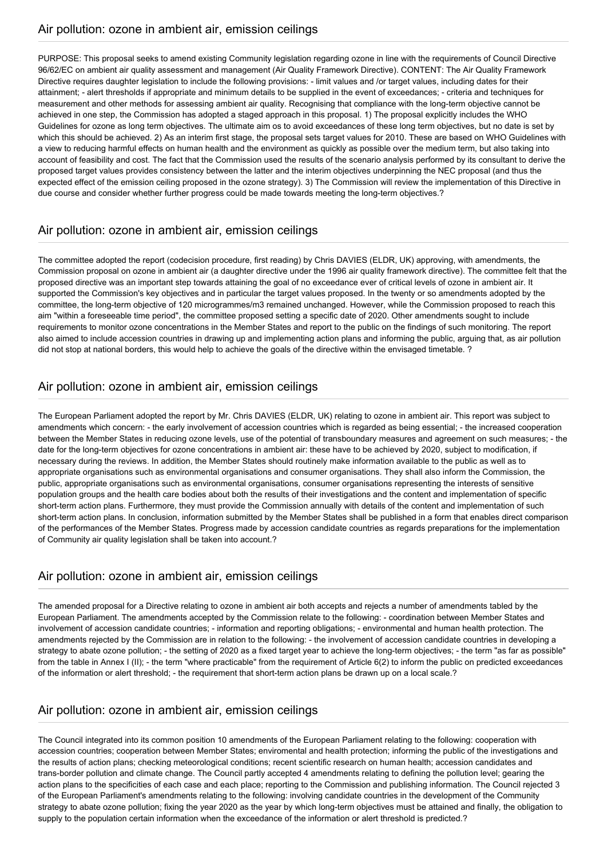PURPOSE: This proposal seeks to amend existing Community legislation regarding ozone in line with the requirements of Council Directive 96/62/EC on ambient air quality assessment and management (Air Quality Framework Directive). CONTENT: The Air Quality Framework Directive requires daughter legislation to include the following provisions: - limit values and /or target values, including dates for their attainment; - alert thresholds if appropriate and minimum details to be supplied in the event of exceedances; - criteria and techniques for measurement and other methods for assessing ambient air quality. Recognising that compliance with the long-term objective cannot be achieved in one step, the Commission has adopted a staged approach in this proposal. 1) The proposal explicitly includes the WHO Guidelines for ozone as long term objectives. The ultimate aim os to avoid exceedances of these long term objectives, but no date is set by which this should be achieved. 2) As an interim first stage, the proposal sets target values for 2010. These are based on WHO Guidelines with a view to reducing harmful effects on human health and the environment as quickly as possible over the medium term, but also taking into account of feasibility and cost. The fact that the Commission used the results of the scenario analysis performed by its consultant to derive the proposed target values provides consistency between the latter and the interim objectives underpinning the NEC proposal (and thus the expected effect of the emission ceiling proposed in the ozone strategy). 3) The Commission will review the implementation of this Directive in due course and consider whether further progress could be made towards meeting the long-term objectives.?

## Air pollution: ozone in ambient air, emission ceilings

The committee adopted the report (codecision procedure, first reading) by Chris DAVIES (ELDR, UK) approving, with amendments, the Commission proposal on ozone in ambient air (a daughter directive under the 1996 air quality framework directive). The committee felt that the proposed directive was an important step towards attaining the goal of no exceedance ever of critical levels of ozone in ambient air. It supported the Commission's key objectives and in particular the target values proposed. In the twenty or so amendments adopted by the committee, the long-term objective of 120 microgrammes/m3 remained unchanged. However, while the Commission proposed to reach this aim "within a foreseeable time period", the committee proposed setting a specific date of 2020. Other amendments sought to include requirements to monitor ozone concentrations in the Member States and report to the public on the findings of such monitoring. The report also aimed to include accession countries in drawing up and implementing action plans and informing the public, arguing that, as air pollution did not stop at national borders, this would help to achieve the goals of the directive within the envisaged timetable. ?

## Air pollution: ozone in ambient air, emission ceilings

The European Parliament adopted the report by Mr. Chris DAVIES (ELDR, UK) relating to ozone in ambient air. This report was subject to amendments which concern: - the early involvement of accession countries which is regarded as being essential; - the increased cooperation between the Member States in reducing ozone levels, use of the potential of transboundary measures and agreement on such measures; - the date for the long-term objectives for ozone concentrations in ambient air: these have to be achieved by 2020, subject to modification, if necessary during the reviews. In addition, the Member States should routinely make information available to the public as well as to appropriate organisations such as environmental organisations and consumer organisations. They shall also inform the Commission, the public, appropriate organisations such as environmental organisations, consumer organisations representing the interests of sensitive population groups and the health care bodies about both the results of their investigations and the content and implementation of specific short-term action plans. Furthermore, they must provide the Commission annually with details of the content and implementation of such short-term action plans. In conclusion, information submitted by the Member States shall be published in a form that enables direct comparison of the performances of the Member States. Progress made by accession candidate countries as regards preparations for the implementation of Community air quality legislation shall be taken into account.?

## Air pollution: ozone in ambient air, emission ceilings

The amended proposal for a Directive relating to ozone in ambient air both accepts and rejects a number of amendments tabled by the European Parliament. The amendments accepted by the Commission relate to the following: - coordination between Member States and involvement of accession candidate countries; - information and reporting obligations; - environmental and human health protection. The amendments rejected by the Commission are in relation to the following: - the involvement of accession candidate countries in developing a strategy to abate ozone pollution; - the setting of 2020 as a fixed target year to achieve the long-term objectives; - the term "as far as possible" from the table in Annex I (II); - the term "where practicable" from the requirement of Article 6(2) to inform the public on predicted exceedances of the information or alert threshold; - the requirement that short-term action plans be drawn up on a local scale.?

## Air pollution: ozone in ambient air, emission ceilings

The Council integrated into its common position 10 amendments of the European Parliament relating to the following: cooperation with accession countries; cooperation between Member States; enviromental and health protection; informing the public of the investigations and the results of action plans; checking meteorological conditions; recent scientific research on human health; accession candidates and trans-border pollution and climate change. The Council partly accepted 4 amendments relating to defining the pollution level; gearing the action plans to the specificities of each case and each place; reporting to the Commission and publishing information. The Council rejected 3 of the European Parliament's amendments relating to the following: involving candidate countries in the development of the Community strategy to abate ozone pollution; fixing the year 2020 as the year by which long-term objectives must be attained and finally, the obligation to supply to the population certain information when the exceedance of the information or alert threshold is predicted.?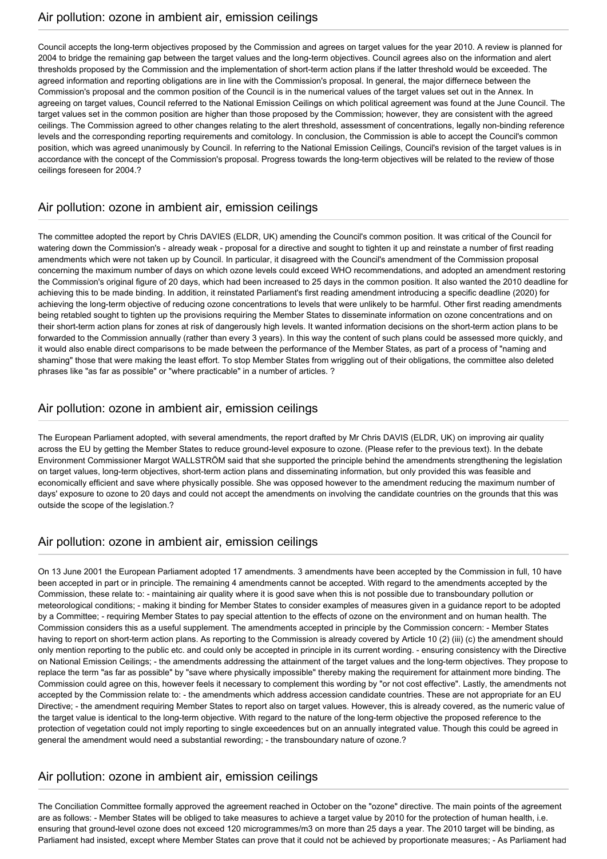Council accepts the long-term objectives proposed by the Commission and agrees on target values for the year 2010. A review is planned for 2004 to bridge the remaining gap between the target values and the long-term objectives. Council agrees also on the information and alert thresholds proposed by the Commission and the implementation of short-term action plans if the latter threshold would be exceeded. The agreed information and reporting obligations are in line with the Commission's proposal. In general, the major differnece between the Commission's proposal and the common position of the Council is in the numerical values of the target values set out in the Annex. In agreeing on target values, Council referred to the National Emission Ceilings on which political agreement was found at the June Council. The target values set in the common position are higher than those proposed by the Commission; however, they are consistent with the agreed ceilings. The Commission agreed to other changes relating to the alert threshold, assessment of concentrations, legally non-binding reference levels and the corresponding reporting requirements and comitology. In conclusion, the Commission is able to accept the Council's common position, which was agreed unanimously by Council. In referring to the National Emission Ceilings, Council's revision of the target values is in accordance with the concept of the Commission's proposal. Progress towards the long-term objectives will be related to the review of those ceilings foreseen for 2004.?

### Air pollution: ozone in ambient air, emission ceilings

The committee adopted the report by Chris DAVIES (ELDR, UK) amending the Council's common position. It was critical of the Council for watering down the Commission's - already weak - proposal for a directive and sought to tighten it up and reinstate a number of first reading amendments which were not taken up by Council. In particular, it disagreed with the Council's amendment of the Commission proposal concerning the maximum number of days on which ozone levels could exceed WHO recommendations, and adopted an amendment restoring the Commission's original figure of 20 days, which had been increased to 25 days in the common position. It also wanted the 2010 deadline for achieving this to be made binding. In addition, it reinstated Parliament's first reading amendment introducing a specific deadline (2020) for achieving the long-term objective of reducing ozone concentrations to levels that were unlikely to be harmful. Other first reading amendments being retabled sought to tighten up the provisions requiring the Member States to disseminate information on ozone concentrations and on their short-term action plans for zones at risk of dangerously high levels. It wanted information decisions on the short-term action plans to be forwarded to the Commission annually (rather than every 3 years). In this way the content of such plans could be assessed more quickly, and it would also enable direct comparisons to be made between the performance of the Member States, as part of a process of "naming and shaming" those that were making the least effort. To stop Member States from wriggling out of their obligations, the committee also deleted phrases like "as far as possible" or "where practicable" in a number of articles. ?

## Air pollution: ozone in ambient air, emission ceilings

The European Parliament adopted, with several amendments, the report drafted by Mr Chris DAVIS (ELDR, UK) on improving air quality across the EU by getting the Member States to reduce ground-level exposure to ozone. (Please refer to the previous text). In the debate Environment Commissioner Margot WALLSTRÖM said that she supported the principle behind the amendments strengthening the legislation on target values, long-term objectives, short-term action plans and disseminating information, but only provided this was feasible and economically efficient and save where physically possible. She was opposed however to the amendment reducing the maximum number of days' exposure to ozone to 20 days and could not accept the amendments on involving the candidate countries on the grounds that this was outside the scope of the legislation.?

## Air pollution: ozone in ambient air, emission ceilings

On 13 June 2001 the European Parliament adopted 17 amendments. 3 amendments have been accepted by the Commission in full, 10 have been accepted in part or in principle. The remaining 4 amendments cannot be accepted. With regard to the amendments accepted by the Commission, these relate to: - maintaining air quality where it is good save when this is not possible due to transboundary pollution or meteorological conditions; - making it binding for Member States to consider examples of measures given in a guidance report to be adopted by a Committee; - requiring Member States to pay special attention to the effects of ozone on the environment and on human health. The Commission considers this as a useful supplement. The amendments accepted in principle by the Commission concern: - Member States having to report on short-term action plans. As reporting to the Commission is already covered by Article 10 (2) (iii) (c) the amendment should only mention reporting to the public etc. and could only be accepted in principle in its current wording. - ensuring consistency with the Directive on National Emission Ceilings; - the amendments addressing the attainment of the target values and the long-term objectives. They propose to replace the term "as far as possible" by "save where physically impossible" thereby making the requirement for attainment more binding. The Commission could agree on this, however feels it necessary to complement this wording by "or not cost effective". Lastly, the amendments not accepted by the Commission relate to: - the amendments which address accession candidate countries. These are not appropriate for an EU Directive; - the amendment requiring Member States to report also on target values. However, this is already covered, as the numeric value of the target value is identical to the long-term objective. With regard to the nature of the long-term objective the proposed reference to the protection of vegetation could not imply reporting to single exceedences but on an annually integrated value. Though this could be agreed in general the amendment would need a substantial rewording; - the transboundary nature of ozone.?

## Air pollution: ozone in ambient air, emission ceilings

The Conciliation Committee formally approved the agreement reached in October on the "ozone" directive. The main points of the agreement are as follows: - Member States will be obliged to take measures to achieve a target value by 2010 for the protection of human health, i.e. ensuring that ground-level ozone does not exceed 120 microgrammes/m3 on more than 25 days a year. The 2010 target will be binding, as Parliament had insisted, except where Member States can prove that it could not be achieved by proportionate measures; - As Parliament had